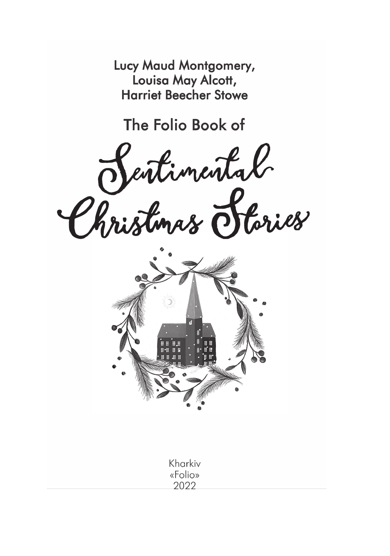Lucy Maud Montgomery, Louisa May Alcott, **Harriet Beecher Stowe** 

The Folio Book of

Sentimental



Kharkiv «Folio» 2022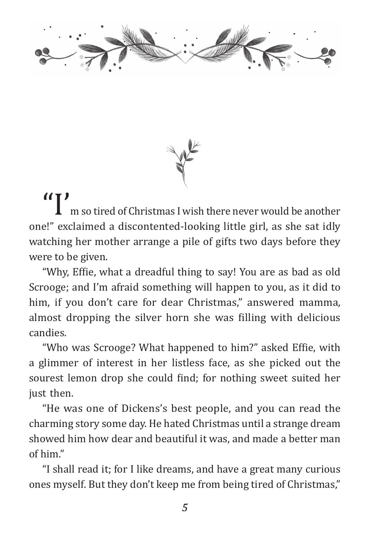



If  $\prod_{m=1}^{\infty}$  m so tired of Christmas I wish there never would be another one!" exclaimed a discontented-looking little girl, as she sat idly watching her mother arrange a pile of gifts two days before they were to be given.

"Why, Effie, what a dreadful thing to say! You are as bad as old Scrooge; and I'm afraid something will happen to you, as it did to him, if you don't care for dear Christmas," answered mamma, almost dropping the silver horn she was filling with delicious candies.

"Who was Scrooge? What happened to him?" asked Effie, with a glimmer of interest in her listless face, as she picked out the sourest lemon drop she could find; for nothing sweet suited her just then.

"He was one of Dickens's best people, and you can read the charming story some day. He hated Christmas until a strange dream showed him how dear and beautiful it was, and made a better man of him."

"I shall read it; for I like dreams, and have a great many curious ones myself. But they don't keep me from being tired of Christmas,"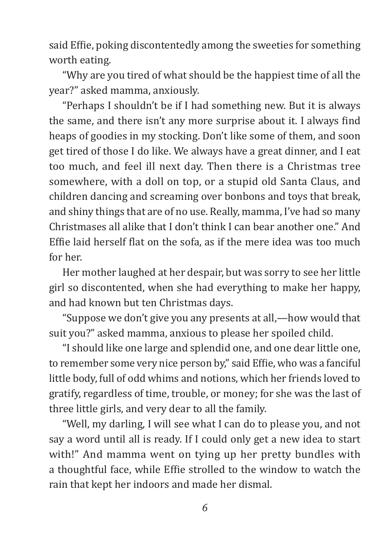said Effie, poking discontentedly among the sweeties for something worth eating.

"Why are you tired of what should be the happiest time of all the year?" asked mamma, anxiously.

"Perhaps I shouldn't be if I had something new. But it is always the same, and there isn't any more surprise about it. I always find heaps of goodies in my stocking. Don't like some of them, and soon get tired of those I do like. We always have a great dinner, and I eat too much, and feel ill next day. Then there is a Christmas tree somewhere, with a doll on top, or a stupid old Santa Claus, and children dancing and screaming over bonbons and toys that break, and shiny things that are of no use. Really, mamma, I've had so many Christmases all alike that I don't think I can bear another one." And Effie laid herself flat on the sofa, as if the mere idea was too much for her.

Her mother laughed at her despair, but was sorry to see her little girl so discontented, when she had everything to make her happy, and had known but ten Christmas days.

"Suppose we don't give you any presents at all,—how would that suit you?" asked mamma, anxious to please her spoiled child.

"I should like one large and splendid one, and one dear little one, to remember some very nice person by," said Effie, who was a fanciful little body, full of odd whims and notions, which her friends loved to gratify, regardless of time, trouble, or money; for she was the last of three little girls, and very dear to all the family.

"Well, my darling, I will see what I can do to please you, and not say a word until all is ready. If I could only get a new idea to start with!" And mamma went on tying up her pretty bundles with a thoughtful face, while Effie strolled to the window to watch the rain that kept her indoors and made her dismal.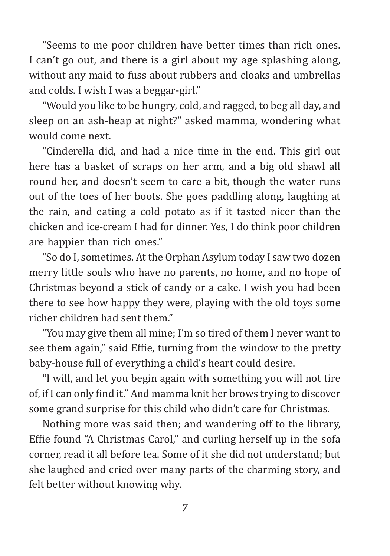"Seems to me poor children have better times than rich ones. I can't go out, and there is a girl about my age splashing along, without any maid to fuss about rubbers and cloaks and umbrellas and colds. I wish I was a beggar-girl."

"Would you like to be hungry, cold, and ragged, to beg all day, and sleep on an ash-heap at night?" asked mamma, wondering what would come next.

"Cinderella did, and had a nice time in the end. This girl out here has a basket of scraps on her arm, and a big old shawl all round her, and doesn't seem to care a bit, though the water runs out of the toes of her boots. She goes paddling along, laughing at the rain, and eating a cold potato as if it tasted nicer than the chicken and ice-cream I had for dinner. Yes, I do think poor children are happier than rich ones."

"So do I, sometimes. At the Orphan Asylum today I saw two dozen merry little souls who have no parents, no home, and no hope of Christmas beyond a stick of candy or a cake. I wish you had been there to see how happy they were, playing with the old toys some richer children had sent them."

"You may give them all mine; I'm so tired of them I never want to see them again," said Effie, turning from the window to the pretty baby-house full of everything a child's heart could desire.

"I will, and let you begin again with something you will not tire of, if I can only find it." And mamma knit her brows trying to discover some grand surprise for this child who didn't care for Christmas.

Nothing more was said then; and wandering off to the library, Effie found "A Christmas Carol," and curling herself up in the sofa corner, read it all before tea. Some of it she did not understand; but she laughed and cried over many parts of the charming story, and felt better without knowing why.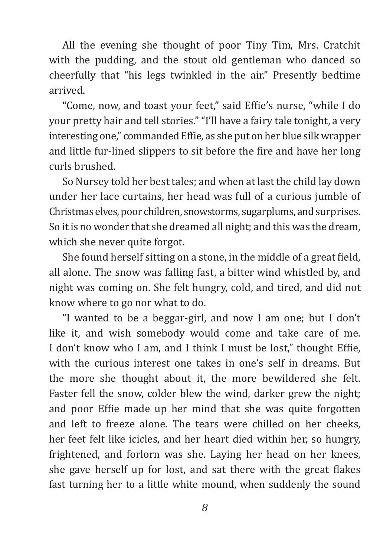All the evening she thought of poor Tiny Tim, Mrs. Cratchit with the pudding, and the stout old gentleman who danced so cheerfully that "his legs twinkled in the air." Presently bedtime arrived.

"Come, now, and toast your feet," said Effie's nurse, "while I do your pretty hair and tell stories." "I'll have a fairy tale tonight, a very interesting one," commanded Effie, as she put on her blue silk wrapper and little fur-lined slippers to sit before the fire and have her long curls brushed.

So Nursey told her best tales; and when at last the child lay down under her lace curtains, her head was full of a curious jumble of Christmas elves, poor children, snowstorms, sugarplums, and surprises. So it is no wonder that she dreamed all night; and this was the dream, which she never quite forgot.

She found herself sitting on a stone, in the middle of a great field, all alone. The snow was falling fast, a bitter wind whistled by, and night was coming on. She felt hungry, cold, and tired, and did not know where to go nor what to do.

"I wanted to be a beggar-girl, and now I am one; but I don't like it, and wish somebody would come and take care of me. I don't know who I am, and I think I must be lost," thought Effie, with the curious interest one takes in one's self in dreams. But the more she thought about it, the more bewildered she felt. Faster fell the snow, colder blew the wind, darker grew the night; and poor Effie made up her mind that she was quite forgotten and left to freeze alone. The tears were chilled on her cheeks, her feet felt like icicles, and her heart died within her, so hungry, frightened, and forlorn was she. Laying her head on her knees, she gave herself up for lost, and sat there with the great flakes fast turning her to a little white mound, when suddenly the sound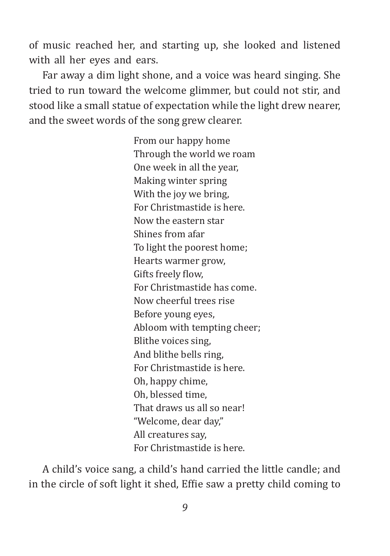of music reached her, and starting up, she looked and listened with all her eyes and ears.

Far away a dim light shone, and a voice was heard singing. She tried to run toward the welcome glimmer, but could not stir, and stood like a small statue of expectation while the light drew nearer, and the sweet words of the song grew clearer.

> From our happy home Through the world we roam One week in all the year, Making winter spring With the joy we bring, For Christmastide is here. Now the eastern star Shines from afar To light the poorest home; Hearts warmer grow, Gifts freely flow, For Christmastide has come. Now cheerful trees rise Before young eyes, Abloom with tempting cheer; Blithe voices sing, And blithe bells ring, For Christmastide is here. Oh, happy chime, Oh, blessed time, That draws us all so near! "Welcome, dear day," All creatures say, For Christmastide is here.

A child's voice sang, a child's hand carried the little candle; and in the circle of soft light it shed, Effie saw a pretty child coming to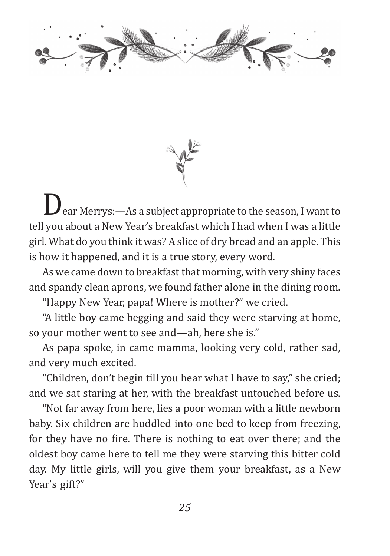

 $\bm J$  ear Merrys:—As a subject appropriate to the season, I want to tell you about a New Year's breakfast which I had when I was a little girl. What do you think it was? A slice of dry bread and an apple. This is how it happened, and it is a true story, every word.

As we came down to breakfast that morning, with very shiny faces and spandy clean aprons, we found father alone in the dining room.

"Happy New Year, papa! Where is mother?" we cried.

"A little boy came begging and said they were starving at home, so your mother went to see and—ah, here she is."

As papa spoke, in came mamma, looking very cold, rather sad, and very much excited.

"Children, don't begin till you hear what I have to say," she cried; and we sat staring at her, with the breakfast untouched before us.

"Not far away from here, lies a poor woman with a little newborn baby. Six children are huddled into one bed to keep from freezing, for they have no fire. There is nothing to eat over there; and the oldest boy came here to tell me they were starving this bitter cold day. My little girls, will you give them your breakfast, as a New Year's gift?"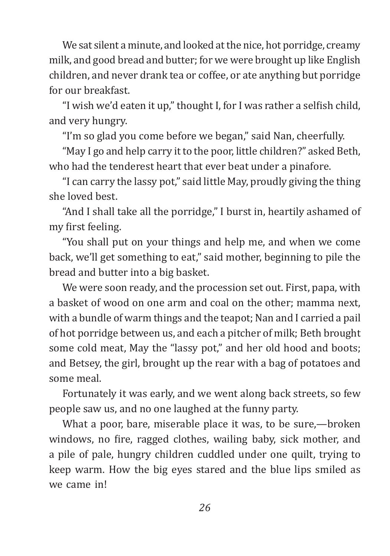We sat silent a minute, and looked at the nice, hot porridge, creamy milk, and good bread and butter; for we were brought up like English children, and never drank tea or coffee, or ate anything but porridge for our breakfast.

"I wish we'd eaten it up," thought I, for I was rather a selfish child, and very hungry.

"I'm so glad you come before we began," said Nan, cheerfully.

"May I go and help carry it to the poor, little children?" asked Beth, who had the tenderest heart that ever beat under a pinafore.

"I can carry the lassy pot," said little May, proudly giving the thing she loved best.

"And I shall take all the porridge," I burst in, heartily ashamed of my first feeling.

"You shall put on your things and help me, and when we come back, we'll get something to eat," said mother, beginning to pile the bread and butter into a big basket.

We were soon ready, and the procession set out. First, papa, with a basket of wood on one arm and coal on the other; mamma next, with a bundle of warm things and the teapot; Nan and I carried a pail of hot porridge between us, and each a pitcher of milk; Beth brought some cold meat, May the "lassy pot," and her old hood and boots; and Betsey, the girl, brought up the rear with a bag of potatoes and some meal.

Fortunately it was early, and we went along back streets, so few people saw us, and no one laughed at the funny party.

What a poor, bare, miserable place it was, to be sure,—broken windows, no fire, ragged clothes, wailing baby, sick mother, and a pile of pale, hungry children cuddled under one quilt, trying to keep warm. How the big eyes stared and the blue lips smiled as we came in!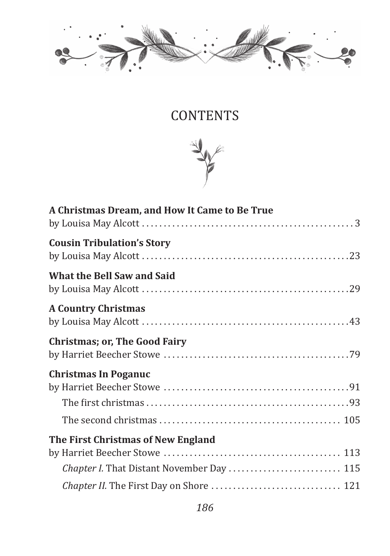

## **CONTENTS**



| A Christmas Dream, and How It Came to Be True |
|-----------------------------------------------|
|                                               |
| <b>Cousin Tribulation's Story</b>             |
| <b>What the Bell Saw and Said</b>             |
| <b>A Country Christmas</b>                    |
| <b>Christmas; or, The Good Fairy</b>          |
| <b>Christmas In Poganuc</b>                   |
| The First Christmas of New England            |
| Chapter I. That Distant November Day  115     |
|                                               |